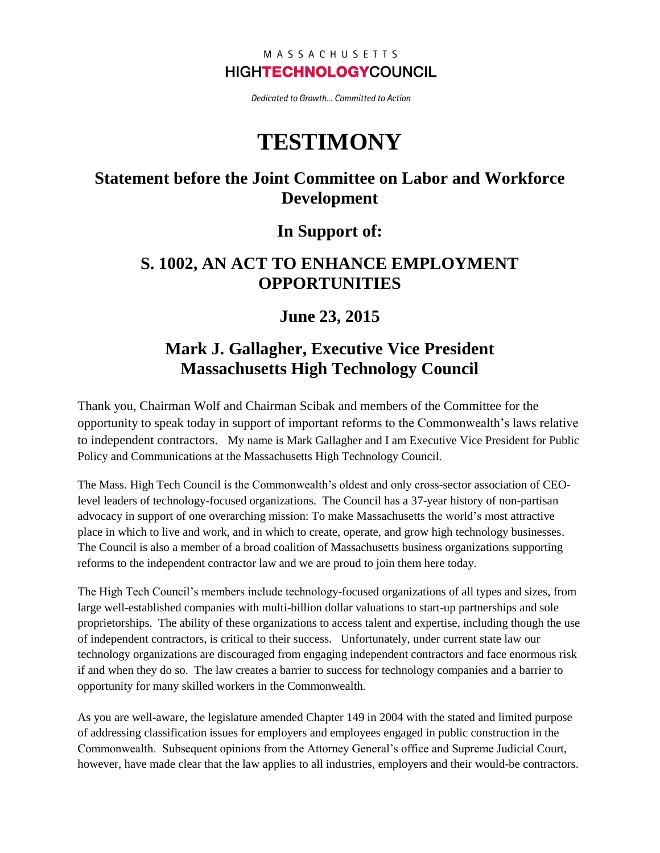#### MASSACHUSETTS **HIGHTECHNOLOGYCOUNCIL**

Dedicated to Growth... Committed to Action

# **TESTIMONY**

# **Statement before the Joint Committee on Labor and Workforce Development**

#### **In Support of:**

### **S. 1002, AN ACT TO ENHANCE EMPLOYMENT OPPORTUNITIES**

# **June 23, 2015**

# **Mark J. Gallagher, Executive Vice President Massachusetts High Technology Council**

Thank you, Chairman Wolf and Chairman Scibak and members of the Committee for the opportunity to speak today in support of important reforms to the Commonwealth's laws relative to independent contractors. My name is Mark Gallagher and I am Executive Vice President for Public Policy and Communications at the Massachusetts High Technology Council.

The Mass. High Tech Council is the Commonwealth's oldest and only cross-sector association of CEOlevel leaders of technology-focused organizations. The Council has a 37-year history of non-partisan advocacy in support of one overarching mission: To make Massachusetts the world's most attractive place in which to live and work, and in which to create, operate, and grow high technology businesses. The Council is also a member of a broad coalition of Massachusetts business organizations supporting reforms to the independent contractor law and we are proud to join them here today.

The High Tech Council's members include technology-focused organizations of all types and sizes, from large well-established companies with multi-billion dollar valuations to start-up partnerships and sole proprietorships. The ability of these organizations to access talent and expertise, including though the use of independent contractors, is critical to their success. Unfortunately, under current state law our technology organizations are discouraged from engaging independent contractors and face enormous risk if and when they do so. The law creates a barrier to success for technology companies and a barrier to opportunity for many skilled workers in the Commonwealth.

As you are well-aware, the legislature amended Chapter 149 in 2004 with the stated and limited purpose of addressing classification issues for employers and employees engaged in public construction in the Commonwealth. Subsequent opinions from the Attorney General's office and Supreme Judicial Court, however, have made clear that the law applies to all industries, employers and their would-be contractors.